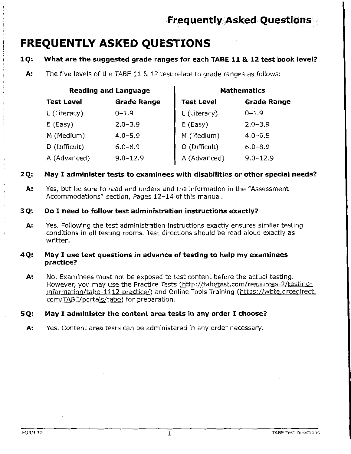# **FREQUENTLY ASKED QUESTIONS**

#### What are the suggested grade ranges for each TABE 11 & 12 test book level?  $1Q.$

A: The five levels of the TABE 11 & 12 test relate to grade ranges as follows:

| <b>Reading and Language</b> |                    | <b>Mathematics</b> |                    |
|-----------------------------|--------------------|--------------------|--------------------|
| <b>Test Level</b>           | <b>Grade Range</b> | <b>Test Level</b>  | <b>Grade Range</b> |
| L (Literacy)                | $0 - 1.9$          | L (Literacy)       | $0 - 1.9$          |
| $E$ (Easy)                  | $2.0 - 3.9$        | $E$ (Easy)         | $2.0 - 3.9$        |
| M (Medium)                  | $4.0 - 5.9$        | M (Medium)         | $4.0 - 6.5$        |
| D (Difficult)               | $6.0 - 8.9$        | D (Difficult)      | $6.0 - 8.9$        |
| A (Advanced)                | $9.0 - 12.9$       | A (Advanced)       | $9.0 - 12.9$       |

#### May I administer tests to examinees with disabilities or other special needs?  $2Q:$

Yes, but be sure to read and understand the information in the "Assessment A: Accommodations" section, Pages 12-14 of this manual.

#### 3Q: Do I need to follow test administration instructions exactly?

Yes. Following the test administration instructions exactly ensures similar testing А: conditions in all testing rooms. Test directions should be read aloud exactly as written.

#### May I use test questions in advance of testing to help my examinees 4Q: practice?

No. Examinees must not be exposed to test content before the actual testing. А. However, you may use the Practice Tests (http://tabetest.com/resources-2/testinginformation/tabe-1112-practice/) and Online Tools Training (https://wbte.drcedirect. com/TABE/portals/tabe) for preparation.

#### May I administer the content area tests in any order I choose? 5Q:

Yes. Content area tests can be administered in any order necessary. А: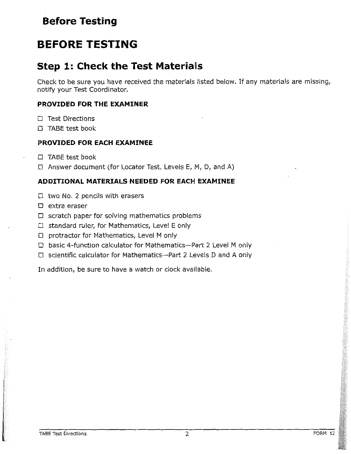# **Before Testing**

# **BEFORE TESTING**

# **Step 1: Check the Test Materials**

Check to be sure you have received the materials listed below. If any materials are missing, notify your Test Coordinator.

### PROVIDED FOR THE EXAMINER

- $\Box$  Test Directions
- □ TABE test book

### PROVIDED FOR EACH EXAMINEE

- $\Box$  TABE test book
- $\Box$  Answer document (for Locator Test, Levels E, M, D, and A)

### ADDITIONAL MATERIALS NEEDED FOR EACH EXAMINEE

- $\Box$  two No. 2 pencils with erasers
- $\Box$  extra eraser
- $\Box$  scratch paper for solving mathematics problems
- $\Box$  standard ruler, for Mathematics, Level E only
- $\Box$  protractor for Mathematics, Level M only
- $\Box$  basic 4-function calculator for Mathematics--Part 2 Level M only
- $\Box$  scientific calculator for Mathematics--Part 2 Levels D and A only

In addition, be sure to have a watch or clock available.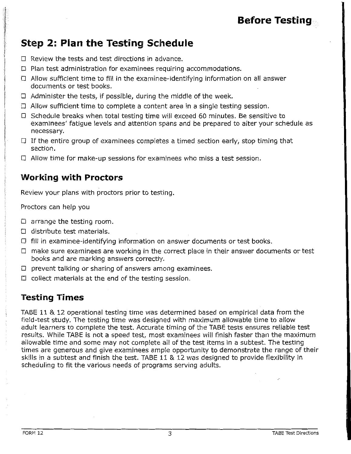# **Before Testing**

# **Step 2: Plan the Testing Schedule**

- $\Box$  Review the tests and test directions in advance.
- $\Box$  Plan test administration for examinees requiring accommodations.
- □ Allow sufficient time to fill in the examinee-identifying information on all answer documents or test books.
- $\Box$  Administer the tests, if possible, during the middle of the week.
- $\Box$  Allow sufficient time to complete a content area in a single testing session.
- □ Schedule breaks when total testing time will exceed 60 minutes. Be sensitive to examinees' fatigue levels and attention spans and be prepared to alter your schedule as necessary.
- $\Box$  If the entire group of examinees completes a timed section early, stop timing that section.
- $\Box$  Allow time for make-up sessions for examinees who miss a test session.

## **Working with Proctors**

Review your plans with proctors prior to testing.

Proctors can help you

- $\Box$  arrange the testing room.
- $\square$  distribute test materials.
- $\Box$  fill in examinee-identifying information on answer documents or test books.
- $\Box$  make sure examinees are working in the correct place in their answer documents or test books and are marking answers correctly.
- $\Box$  prevent talking or sharing of answers among examinees.
- $\Box$  collect materials at the end of the testing session.

## **Testing Times**

TABE 11 & 12 operational testing time was determined based on empirical data from the field-test study. The testing time was designed with maximum allowable time to allow adult learners to complete the test. Accurate timing of the TABE tests ensures reliable test results. While TABE is not a speed test, most examinees will finish faster than the maximum allowable time and some may not complete all of the test items in a subtest. The testing times are generous and give examinees ample opportunity to demonstrate the range of their skills in a subtest and finish the test. TABE 11 & 12 was designed to provide flexibility in scheduling to fit the various needs of programs serving adults.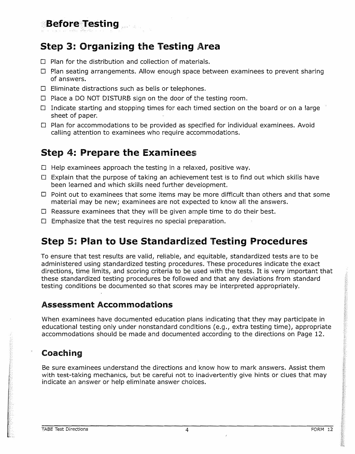# **Step 3: Organizing the Testing Area**

**Before Testing** 

- $\Box$  Plan for the distribution and collection of materials.
- $\Box$  Plan seating arrangements. Allow enough space between examinees to prevent sharing of answers.
- $\Box$  Eliminate distractions such as bells or telephones.
- $\Box$  Place a DO NOT DISTURB sign on the door of the testing room.
- $\Box$  Indicate starting and stopping times for each timed section on the board or on a large sheet of paper.
- $\Box$  Plan for accommodations to be provided as specified for individual examinees. Avoid calling attention to examinees who require accommodations.

## **Step 4: Prepare the Examinees**

- $\square$  Help examinees approach the testing in a relaxed, positive way.
- $\Box$  Explain that the purpose of taking an achievement test is to find out which skills have been learned and which skills need further development.
- $\Box$  Point out to examinees that some items may be more difficult than others and that some material may be new; examinees are not expected to know all the answers.
- $\Box$  Reassure examinees that they will be given ample time to do their best.
- $\Box$  Emphasize that the test requires no special preparation.

# **Step 5: Plan to Use Standardized Testing Procedures**

To ensure that test results are valid, reliable, and equitable, standardized tests are to be administered using standardized testing procedures. These procedures indicate the exact directions, time limits, and scoring criteria to be used with the tests. It is very important that these standardized testing procedures be followed and that any deviations from standard testing conditions be documented so that scores may be interpreted appropriately.

### **Assessment Accommodations**

When examinees have documented education plans indicating that they may participate in educational testing only under nonstandard conditions (e.g., extra testing time), appropriate accommodations should be made and documented according to the directions on Page 12.

## **Coaching**

Be sure examinees understand the directions and know how to mark answers. Assist them with test-taking mechanics, but be careful not to inadvertently give hints or clues that may indicate an answer or help eliminate answer choices.